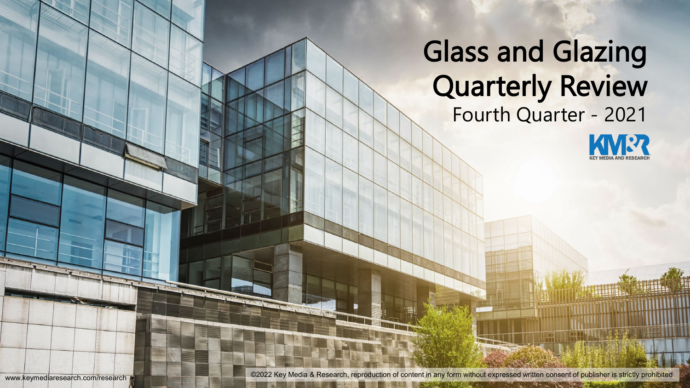# Glass and Glazing Quarterly Review Fourth Quarter - 2021



www.keymediaresearch.com/research **without and the strictly prohibited** ©2022 Key Media & Research, reproduction of content in any form without expressed written consent of publisher is strictly prohibited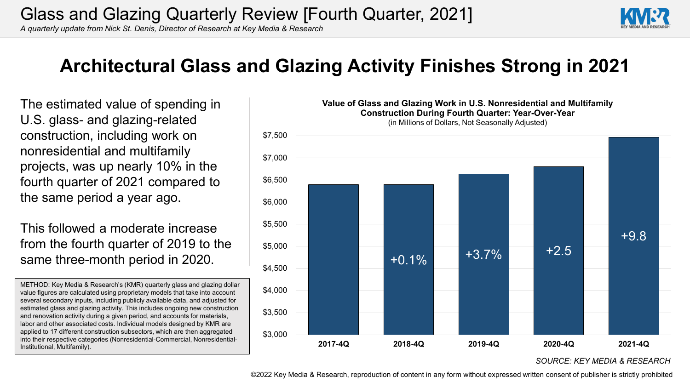*A quarterly update from Nick St. Denis, Director of Research at Key Media & Research*



### **Architectural Glass and Glazing Activity Finishes Strong in 2021**

The estimated value of spending in U.S. glass- and glazing-related construction, including work on nonresidential and multifamily projects, was up nearly 10% in the fourth quarter of 2021 compared to the same period a year ago.

This followed a moderate increase from the fourth quarter of 2019 to the same three-month period in 2020.

METHOD: Key Media & Research's (KMR) quarterly glass and glazing dollar value figures are calculated using proprietary models that take into account several secondary inputs, including publicly available data, and adjusted for estimated glass and glazing activity. This includes ongoing new construction and renovation activity during a given period, and accounts for materials, labor and other associated costs. Individual models designed by KMR are applied to 17 different construction subsectors, which are then aggregated into their respective categories (Nonresidential-Commercial, Nonresidential-Institutional, Multifamily).



*SOURCE: KEY MEDIA & RESEARCH*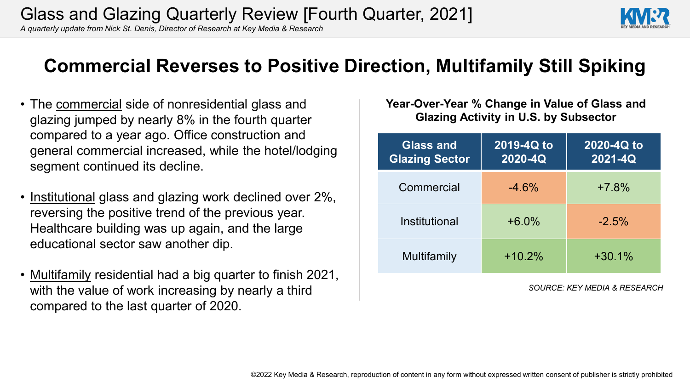*A quarterly update from Nick St. Denis, Director of Research at Key Media & Research*

## **Commercial Reverses to Positive Direction, Multifamily Still Spiking**

- The commercial side of nonresidential glass and glazing jumped by nearly 8% in the fourth quarter compared to a year ago. Office construction and general commercial increased, while the hotel/lodging segment continued its decline.
- Institutional glass and glazing work declined over 2%, reversing the positive trend of the previous year. Healthcare building was up again, and the large educational sector saw another dip.
- <u>Multifamily</u> residential had a big quarter to finish 2021, with the value of work increasing by nearly a third compared to the last quarter of 2020.

**Year-Over-Year % Change in Value of Glass and Glazing Activity in U.S. by Subsector**

| <b>Glass and</b><br><b>Glazing Sector</b> | 2019-4Q to<br>2020-4Q | 2020-4Q to<br>2021-4Q |
|-------------------------------------------|-----------------------|-----------------------|
| Commercial                                | $-4.6%$               | $+7.8%$               |
| Institutional                             | $+6.0\%$              | $-2.5%$               |
| Multifamily                               | $+10.2%$              | $+30.1%$              |

*SOURCE: KEY MEDIA & RESEARCH*

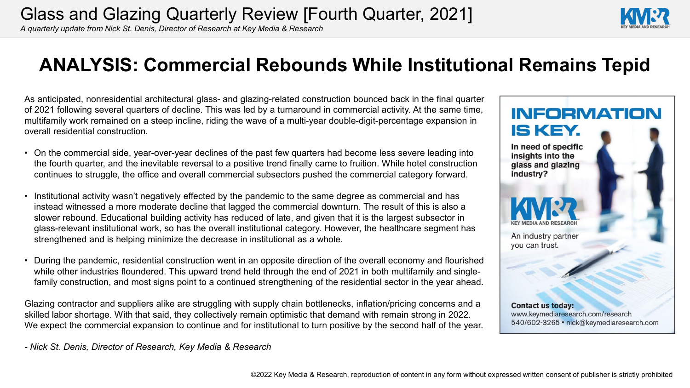*A quarterly update from Nick St. Denis, Director of Research at Key Media & Research*

#### **ANALYSIS: Commercial Rebounds While Institutional Remains Tepid**

As anticipated, nonresidential architectural glass- and glazing-related construction bounced back in the final quarter of 2021 following several quarters of decline. This was led by a turnaround in commercial activity. At the same time, multifamily work remained on a steep incline, riding the wave of a multi-year double-digit-percentage expansion in overall residential construction.

- On the commercial side, year-over-year declines of the past few quarters had become less severe leading into the fourth quarter, and the inevitable reversal to a positive trend finally came to fruition. While hotel construction continues to struggle, the office and overall commercial subsectors pushed the commercial category forward.
- Institutional activity wasn't negatively effected by the pandemic to the same degree as commercial and has instead witnessed a more moderate decline that lagged the commercial downturn. The result of this is also a slower rebound. Educational building activity has reduced of late, and given that it is the largest subsector in glass-relevant institutional work, so has the overall institutional category. However, the healthcare segment has strengthened and is helping minimize the decrease in institutional as a whole.
- During the pandemic, residential construction went in an opposite direction of the overall economy and flourished while other industries floundered. This upward trend held through the end of 2021 in both multifamily and singlefamily construction, and most signs point to a continued strengthening of the residential sector in the year ahead.

Glazing contractor and suppliers alike are struggling with supply chain bottlenecks, inflation/pricing concerns and a skilled labor shortage. With that said, they collectively remain optimistic that demand with remain strong in 2022. We expect the commercial expansion to continue and for institutional to turn positive by the second half of the year.

*- Nick St. Denis, Director of Research, Key Media & Research*



**INFORMATION** 

IS KEY.

In need of specific insights into the glass and glazing

industry?

**Contact us today:** www.keymediaresearch.com/research 540/602-3265 • nick@keymediaresearch.com